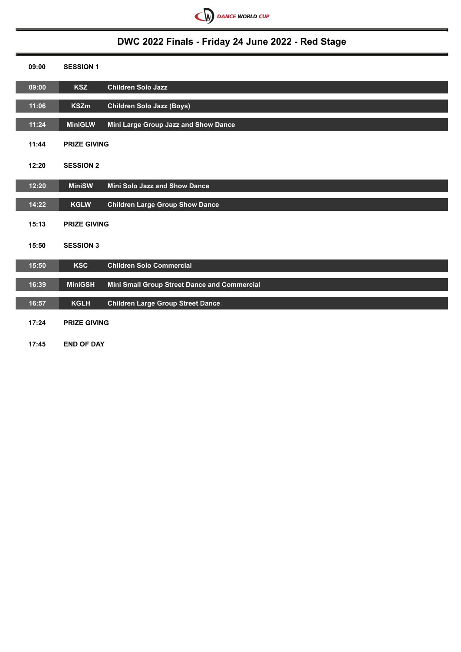

# **DWC 2022 Finals - Friday 24 June 2022 - Red Stage**

| 09:00 | <b>SESSION 1</b>    |                                              |
|-------|---------------------|----------------------------------------------|
| 09:00 | <b>KSZ</b>          | Children Solo Jazz                           |
| 11:06 | <b>KSZm</b>         | <b>Children Solo Jazz (Boys)</b>             |
| 11:24 | <b>MiniGLW</b>      | Mini Large Group Jazz and Show Dance         |
| 11:44 | <b>PRIZE GIVING</b> |                                              |
| 12:20 | <b>SESSION 2</b>    |                                              |
| 12:20 | <b>MiniSW</b>       | <b>Mini Solo Jazz and Show Dance</b>         |
| 14:22 | <b>KGLW</b>         | <b>Children Large Group Show Dance</b>       |
| 15:13 | <b>PRIZE GIVING</b> |                                              |
| 15:50 | <b>SESSION 3</b>    |                                              |
| 15:50 | <b>KSC</b>          | <b>Children Solo Commercial</b>              |
| 16:39 | <b>MiniGSH</b>      | Mini Small Group Street Dance and Commercial |
| 16:57 | <b>KGLH</b>         | <b>Children Large Group Street Dance</b>     |
| 17:24 | <b>PRIZE GIVING</b> |                                              |
| 17:45 | <b>END OF DAY</b>   |                                              |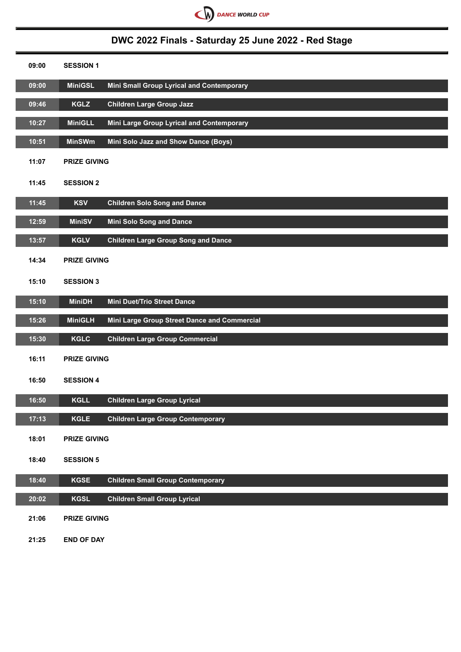

# **DWC 2022 Finals - Saturday 25 June 2022 - Red Stage**

| 09:00 | <b>SESSION 1</b>    |                                              |
|-------|---------------------|----------------------------------------------|
| 09:00 | <b>MiniGSL</b>      | Mini Small Group Lyrical and Contemporary    |
| 09:46 | <b>KGLZ</b>         | <b>Children Large Group Jazz</b>             |
| 10:27 | <b>MiniGLL</b>      | Mini Large Group Lyrical and Contemporary    |
| 10:51 | <b>MinSWm</b>       | Mini Solo Jazz and Show Dance (Boys)         |
| 11:07 | <b>PRIZE GIVING</b> |                                              |
| 11:45 | <b>SESSION 2</b>    |                                              |
| 11:45 | <b>KSV</b>          | <b>Children Solo Song and Dance</b>          |
| 12:59 | <b>MiniSV</b>       | <b>Mini Solo Song and Dance</b>              |
| 13:57 | <b>KGLV</b>         | <b>Children Large Group Song and Dance</b>   |
| 14:34 | <b>PRIZE GIVING</b> |                                              |
| 15:10 | <b>SESSION 3</b>    |                                              |
| 15:10 | <b>MiniDH</b>       | <b>Mini Duet/Trio Street Dance</b>           |
| 15:26 | <b>MiniGLH</b>      | Mini Large Group Street Dance and Commercial |
| 15:30 | <b>KGLC</b>         | <b>Children Large Group Commercial</b>       |
| 16:11 | <b>PRIZE GIVING</b> |                                              |
| 16:50 | <b>SESSION 4</b>    |                                              |
| 16:50 | <b>KGLL</b>         | <b>Children Large Group Lyrical</b>          |
| 17:13 | <b>KGLE</b>         | <b>Children Large Group Contemporary</b>     |
| 18:01 | <b>PRIZE GIVING</b> |                                              |
| 18:40 | <b>SESSION 5</b>    |                                              |
| 18:40 | <b>KGSE</b>         | <b>Children Small Group Contemporary</b>     |
| 20:02 | <b>KGSL</b>         | <b>Children Small Group Lyrical</b>          |
| 21:06 | <b>PRIZE GIVING</b> |                                              |
| 21:25 | <b>END OF DAY</b>   |                                              |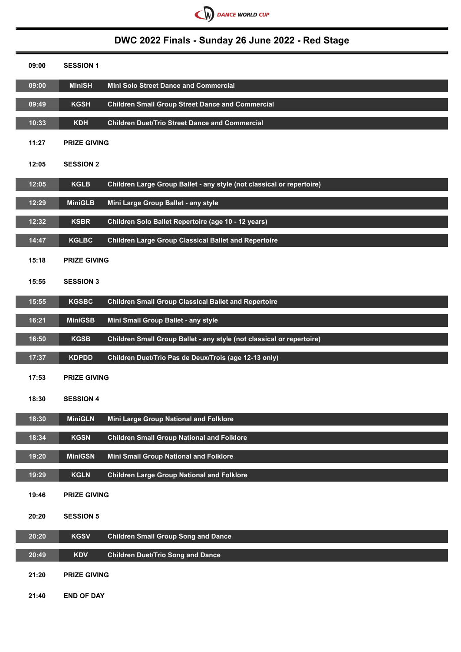

# **DWC 2022 Finals - Sunday 26 June 2022 - Red Stage**

| 09:00 | <b>SESSION 1</b>    |                                                                       |
|-------|---------------------|-----------------------------------------------------------------------|
| 09:00 | <b>MiniSH</b>       | Mini Solo Street Dance and Commercial                                 |
| 09:49 | <b>KGSH</b>         | <b>Children Small Group Street Dance and Commercial</b>               |
| 10:33 | <b>KDH</b>          | <b>Children Duet/Trio Street Dance and Commercial</b>                 |
| 11:27 | <b>PRIZE GIVING</b> |                                                                       |
| 12:05 | <b>SESSION 2</b>    |                                                                       |
| 12:05 | <b>KGLB</b>         | Children Large Group Ballet - any style (not classical or repertoire) |
| 12:29 | <b>MiniGLB</b>      | Mini Large Group Ballet - any style                                   |
| 12:32 | <b>KSBR</b>         | Children Solo Ballet Repertoire (age 10 - 12 years)                   |
| 14:47 | <b>KGLBC</b>        | <b>Children Large Group Classical Ballet and Repertoire</b>           |
| 15:18 | <b>PRIZE GIVING</b> |                                                                       |
| 15:55 | <b>SESSION 3</b>    |                                                                       |
| 15:55 | <b>KGSBC</b>        | <b>Children Small Group Classical Ballet and Repertoire</b>           |
| 16:21 | <b>MiniGSB</b>      | Mini Small Group Ballet - any style                                   |
| 16:50 | <b>KGSB</b>         | Children Small Group Ballet - any style (not classical or repertoire) |
| 17:37 | <b>KDPDD</b>        | Children Duet/Trio Pas de Deux/Trois (age 12-13 only)                 |
| 17:53 | <b>PRIZE GIVING</b> |                                                                       |
| 18:30 | <b>SESSION 4</b>    |                                                                       |
| 18:30 | <b>MiniGLN</b>      | Mini Large Group National and Folklore                                |
| 18:34 | <b>KGSN</b>         | <b>Children Small Group National and Folklore</b>                     |
| 19:20 | <b>MiniGSN</b>      | Mini Small Group National and Folklore                                |
| 19:29 | <b>KGLN</b>         | <b>Children Large Group National and Folklore</b>                     |
| 19:46 | <b>PRIZE GIVING</b> |                                                                       |
| 20:20 | <b>SESSION 5</b>    |                                                                       |
| 20:20 | <b>KGSV</b>         | <b>Children Small Group Song and Dance</b>                            |
| 20:49 | <b>KDV</b>          | <b>Children Duet/Trio Song and Dance</b>                              |
| 21:20 | <b>PRIZE GIVING</b> |                                                                       |

**21:40 END OF DAY**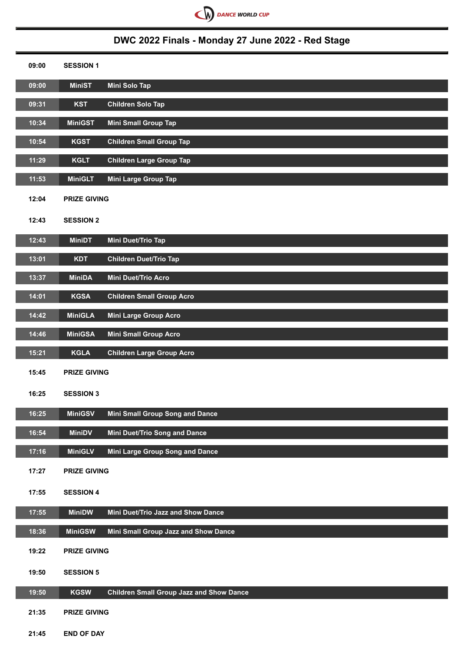

# **DWC 2022 Finals - Monday 27 June 2022 - Red Stage**

| 09:00              | <b>SESSION 1</b>    |                                                 |
|--------------------|---------------------|-------------------------------------------------|
| $\overline{09:00}$ | <b>MiniST</b>       | Mini Solo Tap                                   |
| 09:31              | <b>KST</b>          | <b>Children Solo Tap</b>                        |
| 10:34              | <b>MiniGST</b>      | <b>Mini Small Group Tap</b>                     |
| 10:54              | <b>KGST</b>         | <b>Children Small Group Tap</b>                 |
| 11:29              | <b>KGLT</b>         | <b>Children Large Group Tap</b>                 |
| 11:53              | <b>MiniGLT</b>      | <b>Mini Large Group Tap</b>                     |
| 12:04              | <b>PRIZE GIVING</b> |                                                 |
| 12:43              | <b>SESSION 2</b>    |                                                 |
| 12:43              | <b>MiniDT</b>       | Mini Duet/Trio Tap                              |
| 13:01              | <b>KDT</b>          | <b>Children Duet/Trio Tap</b>                   |
| 13:37              | <b>MiniDA</b>       | Mini Duet/Trio Acro                             |
| 14:01              | <b>KGSA</b>         | <b>Children Small Group Acro</b>                |
| 14:42              | <b>MiniGLA</b>      | Mini Large Group Acro                           |
| 14:46              | <b>MiniGSA</b>      | <b>Mini Small Group Acro</b>                    |
| 15:21              | <b>KGLA</b>         | <b>Children Large Group Acro</b>                |
| 15:45              | <b>PRIZE GIVING</b> |                                                 |
| 16:25              | <b>SESSION 3</b>    |                                                 |
| 16:25              | <b>MiniGSV</b>      | Mini Small Group Song and Dance                 |
| 16:54              | <b>MiniDV</b>       | Mini Duet/Trio Song and Dance                   |
| 17:16              | <b>MiniGLV</b>      | Mini Large Group Song and Dance                 |
| 17:27              | <b>PRIZE GIVING</b> |                                                 |
| 17:55              | <b>SESSION 4</b>    |                                                 |
| 17:55              | <b>MiniDW</b>       | Mini Duet/Trio Jazz and Show Dance              |
| 18:36              | <b>MiniGSW</b>      | Mini Small Group Jazz and Show Dance            |
| 19:22              | <b>PRIZE GIVING</b> |                                                 |
| 19:50              | <b>SESSION 5</b>    |                                                 |
| 19:50              | <b>KGSW</b>         | <b>Children Small Group Jazz and Show Dance</b> |
| 21:35              | <b>PRIZE GIVING</b> |                                                 |
| 21:45              | <b>END OF DAY</b>   |                                                 |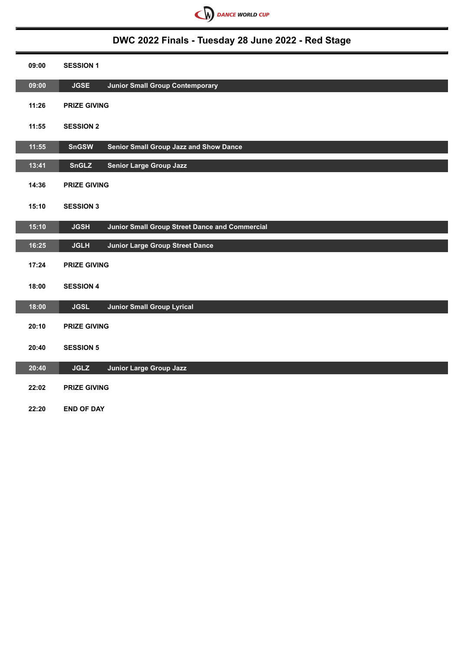

## **DWC 2022 Finals - Tuesday 28 June 2022 - Red Stage**

| 09:00 | <b>SESSION 1</b>                                              |
|-------|---------------------------------------------------------------|
| 09:00 | <b>JGSE</b><br><b>Junior Small Group Contemporary</b>         |
| 11:26 | <b>PRIZE GIVING</b>                                           |
| 11:55 | <b>SESSION 2</b>                                              |
| 11:55 | Senior Small Group Jazz and Show Dance<br><b>SnGSW</b>        |
| 13:41 | <b>Senior Large Group Jazz</b><br><b>SnGLZ</b>                |
| 14:36 | <b>PRIZE GIVING</b>                                           |
| 15:10 | <b>SESSION 3</b>                                              |
| 15:10 | Junior Small Group Street Dance and Commercial<br><b>JGSH</b> |
|       |                                                               |
| 16:25 | <b>Junior Large Group Street Dance</b><br><b>JGLH</b>         |
| 17:24 | <b>PRIZE GIVING</b>                                           |
| 18:00 | <b>SESSION 4</b>                                              |
| 18:00 | <b>JGSL</b><br><b>Junior Small Group Lyrical</b>              |
| 20:10 | <b>PRIZE GIVING</b>                                           |
| 20:40 | <b>SESSION 5</b>                                              |
| 20:40 | <b>Junior Large Group Jazz</b><br><b>JGLZ</b>                 |
| 22:02 | <b>PRIZE GIVING</b>                                           |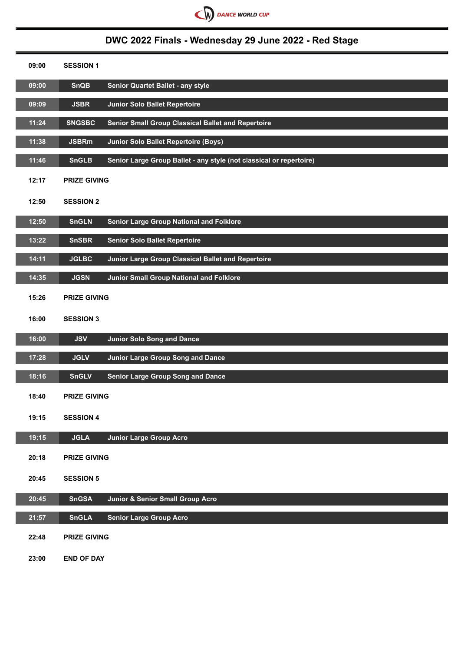

# **DWC 2022 Finals - Wednesday 29 June 2022 - Red Stage**

| 09:00              | <b>SESSION 1</b>    |                                                                     |
|--------------------|---------------------|---------------------------------------------------------------------|
| 09:00              | <b>SnQB</b>         | Senior Quartet Ballet - any style                                   |
| 09:09              | <b>JSBR</b>         | <b>Junior Solo Ballet Repertoire</b>                                |
| 11:24              | <b>SNGSBC</b>       | Senior Small Group Classical Ballet and Repertoire                  |
| 11:38              | <b>JSBRm</b>        | <b>Junior Solo Ballet Repertoire (Boys)</b>                         |
| 11:46              | <b>SnGLB</b>        | Senior Large Group Ballet - any style (not classical or repertoire) |
| 12:17              | <b>PRIZE GIVING</b> |                                                                     |
| 12:50              | <b>SESSION 2</b>    |                                                                     |
| 12:50              | <b>SnGLN</b>        | <b>Senior Large Group National and Folklore</b>                     |
| 13:22              | <b>SnSBR</b>        | <b>Senior Solo Ballet Repertoire</b>                                |
| 14:11              | <b>JGLBC</b>        | Junior Large Group Classical Ballet and Repertoire                  |
| 14:35              | <b>JGSN</b>         | <b>Junior Small Group National and Folklore</b>                     |
| 15:26              | <b>PRIZE GIVING</b> |                                                                     |
| 16:00              | <b>SESSION 3</b>    |                                                                     |
| 16:00              | <b>JSV</b>          | <b>Junior Solo Song and Dance</b>                                   |
| 17:28              | <b>JGLV</b>         | Junior Large Group Song and Dance                                   |
| 18:16              | <b>SnGLV</b>        | <b>Senior Large Group Song and Dance</b>                            |
| 18:40              | <b>PRIZE GIVING</b> |                                                                     |
| 19:15              | <b>SESSION 4</b>    |                                                                     |
| 19:15              | <b>JGLA</b>         | <b>Junior Large Group Acro</b>                                      |
| 20:18              | <b>PRIZE GIVING</b> |                                                                     |
| 20:45              | <b>SESSION 5</b>    |                                                                     |
| 20:45              | <b>SnGSA</b>        | Junior & Senior Small Group Acro                                    |
| $\overline{21:57}$ | <b>SnGLA</b>        | <b>Senior Large Group Acro</b>                                      |
| 22:48              | <b>PRIZE GIVING</b> |                                                                     |
| 23:00              | <b>END OF DAY</b>   |                                                                     |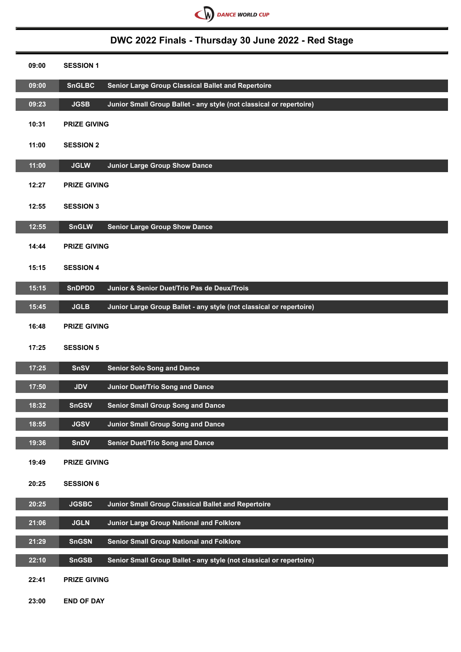

# **DWC 2022 Finals - Thursday 30 June 2022 - Red Stage**

| 09:00 | <b>SESSION 1</b>                                                                    |
|-------|-------------------------------------------------------------------------------------|
| 09:00 | <b>SnGLBC</b><br>Senior Large Group Classical Ballet and Repertoire                 |
| 09:23 | Junior Small Group Ballet - any style (not classical or repertoire)<br><b>JGSB</b>  |
| 10:31 | <b>PRIZE GIVING</b>                                                                 |
| 11:00 | <b>SESSION 2</b>                                                                    |
| 11:00 | <b>JGLW</b><br><b>Junior Large Group Show Dance</b>                                 |
| 12:27 | <b>PRIZE GIVING</b>                                                                 |
| 12:55 | <b>SESSION 3</b>                                                                    |
| 12:55 | <b>SnGLW</b><br><b>Senior Large Group Show Dance</b>                                |
| 14:44 | <b>PRIZE GIVING</b>                                                                 |
| 15:15 | <b>SESSION 4</b>                                                                    |
| 15:15 | Junior & Senior Duet/Trio Pas de Deux/Trois<br><b>SnDPDD</b>                        |
| 15:45 | <b>JGLB</b><br>Junior Large Group Ballet - any style (not classical or repertoire)  |
| 16:48 | <b>PRIZE GIVING</b>                                                                 |
| 17:25 | <b>SESSION 5</b>                                                                    |
| 17:25 | <b>Senior Solo Song and Dance</b><br><b>SnSV</b>                                    |
| 17:50 | <b>Junior Duet/Trio Song and Dance</b><br><b>JDV</b>                                |
| 18:32 | <b>SnGSV</b><br><b>Senior Small Group Song and Dance</b>                            |
| 18:55 | <b>JGSV</b><br><b>Junior Small Group Song and Dance</b>                             |
| 19:36 | <b>Senior Duet/Trio Song and Dance</b><br><b>SnDV</b>                               |
| 19:49 | <b>PRIZE GIVING</b>                                                                 |
| 20:25 | <b>SESSION 6</b>                                                                    |
| 20:25 | Junior Small Group Classical Ballet and Repertoire<br><b>JGSBC</b>                  |
| 21:06 | Junior Large Group National and Folklore<br><b>JGLN</b>                             |
| 21:29 | <b>Senior Small Group National and Folklore</b><br><b>SnGSN</b>                     |
| 22:10 | Senior Small Group Ballet - any style (not classical or repertoire)<br><b>SnGSB</b> |
| 22:41 | <b>PRIZE GIVING</b>                                                                 |

**23:00 END OF DAY**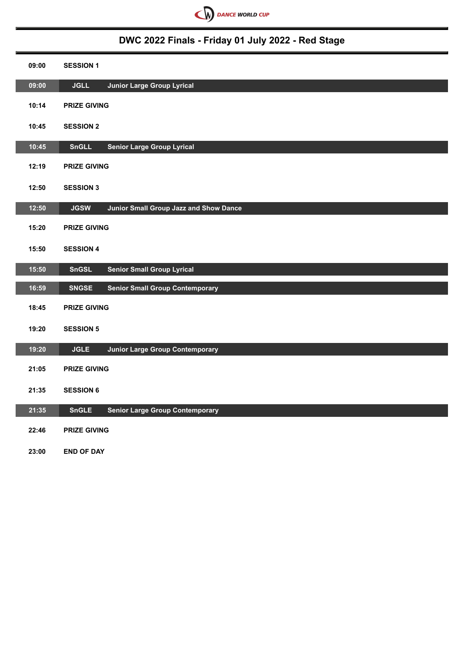

# **DWC 2022 Finals - Friday 01 July 2022 - Red Stage**

| 09:00 | <b>SESSION 1</b>                                       |
|-------|--------------------------------------------------------|
| 09:00 | <b>Junior Large Group Lyrical</b><br><b>JGLL</b>       |
| 10:14 | <b>PRIZE GIVING</b>                                    |
| 10:45 | <b>SESSION 2</b>                                       |
| 10:45 | <b>Senior Large Group Lyrical</b><br><b>SnGLL</b>      |
| 12:19 | <b>PRIZE GIVING</b>                                    |
| 12:50 | <b>SESSION 3</b>                                       |
| 12:50 | Junior Small Group Jazz and Show Dance<br><b>JGSW</b>  |
| 15:20 | <b>PRIZE GIVING</b>                                    |
| 15:50 | <b>SESSION 4</b>                                       |
| 15:50 | <b>SnGSL</b><br><b>Senior Small Group Lyrical</b>      |
| 16:59 | <b>SNGSE</b><br><b>Senior Small Group Contemporary</b> |
| 18:45 | <b>PRIZE GIVING</b>                                    |
| 19:20 | <b>SESSION 5</b>                                       |
| 19:20 | <b>JGLE</b><br><b>Junior Large Group Contemporary</b>  |
| 21:05 | <b>PRIZE GIVING</b>                                    |
| 21:35 | <b>SESSION 6</b>                                       |
| 21:35 | <b>SnGLE</b><br><b>Senior Large Group Contemporary</b> |
| 22:46 | <b>PRIZE GIVING</b>                                    |

**23:00 END OF DAY**